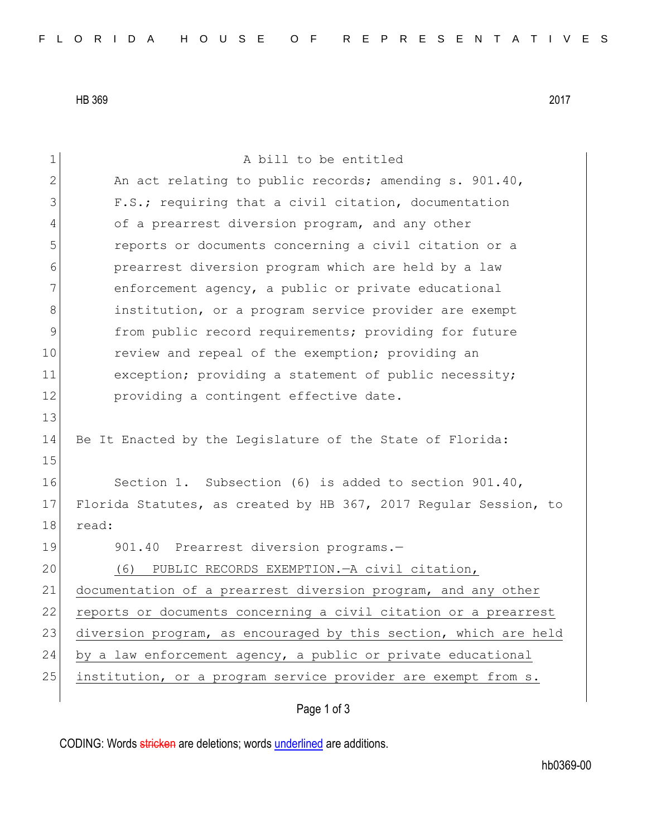HB 369 2017

| $\mathbf 1$  | A bill to be entitled                                            |
|--------------|------------------------------------------------------------------|
| $\mathbf{2}$ | An act relating to public records; amending s. 901.40,           |
| 3            | F.S.; requiring that a civil citation, documentation             |
| 4            | of a prearrest diversion program, and any other                  |
| 5            | reports or documents concerning a civil citation or a            |
| 6            | prearrest diversion program which are held by a law              |
| 7            | enforcement agency, a public or private educational              |
| 8            | institution, or a program service provider are exempt            |
| $\mathsf 9$  | from public record requirements; providing for future            |
| 10           | review and repeal of the exemption; providing an                 |
| 11           | exception; providing a statement of public necessity;            |
| 12           | providing a contingent effective date.                           |
| 13           |                                                                  |
| 14           | Be It Enacted by the Legislature of the State of Florida:        |
| 15           |                                                                  |
| 16           | Section 1. Subsection (6) is added to section 901.40,            |
| 17           | Florida Statutes, as created by HB 367, 2017 Regular Session, to |
| 18           | read:                                                            |
| 19           | 901.40 Prearrest diversion programs.-                            |
| 20           | PUBLIC RECORDS EXEMPTION. - A civil citation,<br>(6)             |
| 21           | documentation of a prearrest diversion program, and any other    |
| 22           | reports or documents concerning a civil citation or a prearrest  |
| 23           | diversion program, as encouraged by this section, which are held |
| 24           | by a law enforcement agency, a public or private educational     |
| 25           | institution, or a program service provider are exempt from s.    |
|              |                                                                  |

## Page 1 of 3

CODING: Words stricken are deletions; words underlined are additions.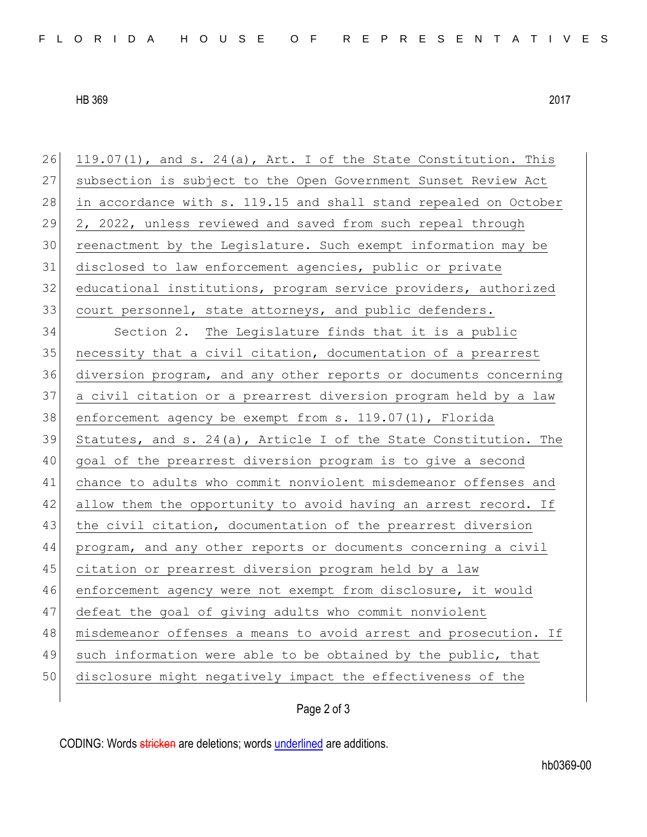HB 369 2017

| 26 | $119.07(1)$ , and s. 24(a), Art. I of the State Constitution. This |
|----|--------------------------------------------------------------------|
| 27 | subsection is subject to the Open Government Sunset Review Act     |
| 28 | in accordance with s. 119.15 and shall stand repealed on October   |
| 29 | 2, 2022, unless reviewed and saved from such repeal through        |
| 30 | reenactment by the Legislature. Such exempt information may be     |
| 31 | disclosed to law enforcement agencies, public or private           |
| 32 | educational institutions, program service providers, authorized    |
| 33 | court personnel, state attorneys, and public defenders.            |
| 34 | Section 2. The Legislature finds that it is a public               |
| 35 | necessity that a civil citation, documentation of a prearrest      |
| 36 | diversion program, and any other reports or documents concerning   |
| 37 | a civil citation or a prearrest diversion program held by a law    |
| 38 | enforcement agency be exempt from $s. 119.07(1)$ , Florida         |
| 39 | Statutes, and s. 24(a), Article I of the State Constitution. The   |
| 40 | goal of the prearrest diversion program is to give a second        |
| 41 | chance to adults who commit nonviolent misdemeanor offenses and    |
| 42 | allow them the opportunity to avoid having an arrest record. If    |
| 43 | the civil citation, documentation of the prearrest diversion       |
| 44 | program, and any other reports or documents concerning a civil     |
| 45 | citation or prearrest diversion program held by a law              |
| 46 | enforcement agency were not exempt from disclosure, it would       |
| 47 | defeat the goal of giving adults who commit nonviolent             |
| 48 | misdemeanor offenses a means to avoid arrest and prosecution. If   |
| 49 | such information were able to be obtained by the public, that      |
|    |                                                                    |
| 50 | disclosure might negatively impact the effectiveness of the        |

Page 2 of 3

CODING: Words stricken are deletions; words underlined are additions.